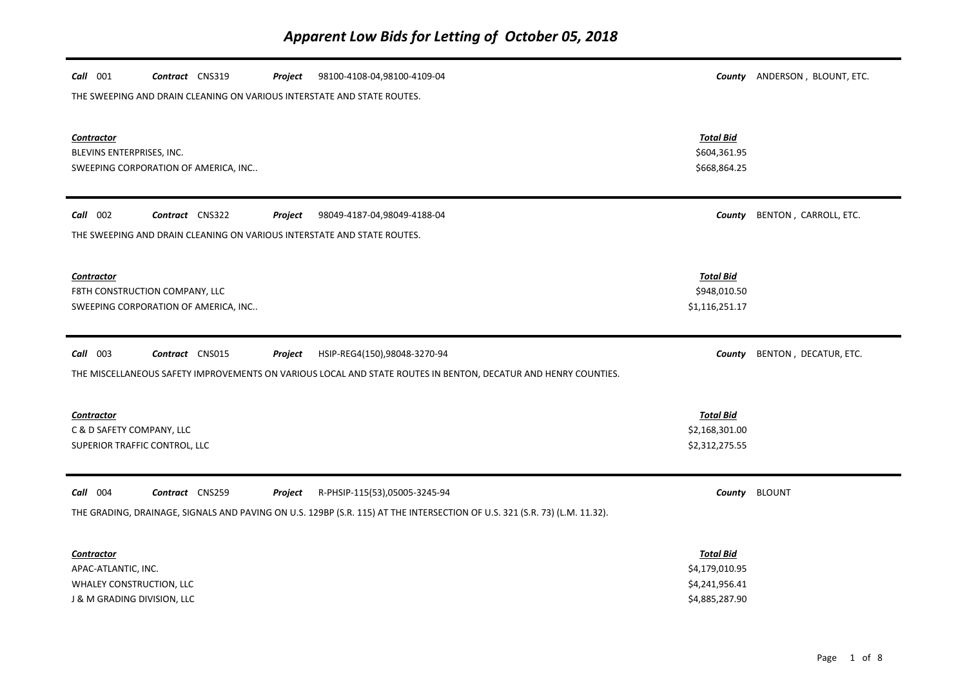| Contract CNS319<br>Call 001<br>98100-4108-04,98100-4109-04<br>Project                                                      |                                                      | County ANDERSON, BLOUNT, ETC. |
|----------------------------------------------------------------------------------------------------------------------------|------------------------------------------------------|-------------------------------|
| THE SWEEPING AND DRAIN CLEANING ON VARIOUS INTERSTATE AND STATE ROUTES.                                                    |                                                      |                               |
| <b>Contractor</b><br>BLEVINS ENTERPRISES, INC.<br>SWEEPING CORPORATION OF AMERICA, INC                                     | <b>Total Bid</b><br>\$604,361.95<br>\$668,864.25     |                               |
| Call 002<br>98049-4187-04,98049-4188-04<br>Contract CNS322<br>Project                                                      | County                                               | BENTON, CARROLL, ETC.         |
| THE SWEEPING AND DRAIN CLEANING ON VARIOUS INTERSTATE AND STATE ROUTES.                                                    |                                                      |                               |
| <b>Contractor</b><br>F8TH CONSTRUCTION COMPANY, LLC<br>SWEEPING CORPORATION OF AMERICA, INC                                | <b>Total Bid</b><br>\$948,010.50<br>\$1,116,251.17   |                               |
|                                                                                                                            |                                                      |                               |
| Call 003<br>Contract CNS015<br>Project<br>HSIP-REG4(150),98048-3270-94                                                     | County                                               | BENTON, DECATUR, ETC.         |
| THE MISCELLANEOUS SAFETY IMPROVEMENTS ON VARIOUS LOCAL AND STATE ROUTES IN BENTON, DECATUR AND HENRY COUNTIES.             |                                                      |                               |
| <b>Contractor</b><br>C & D SAFETY COMPANY, LLC<br>SUPERIOR TRAFFIC CONTROL, LLC                                            | <b>Total Bid</b><br>\$2,168,301.00<br>\$2,312,275.55 |                               |
| Call 004<br>Contract CNS259<br>R-PHSIP-115(53),05005-3245-94<br>Project                                                    |                                                      | County BLOUNT                 |
| THE GRADING, DRAINAGE, SIGNALS AND PAVING ON U.S. 129BP (S.R. 115) AT THE INTERSECTION OF U.S. 321 (S.R. 73) (L.M. 11.32). |                                                      |                               |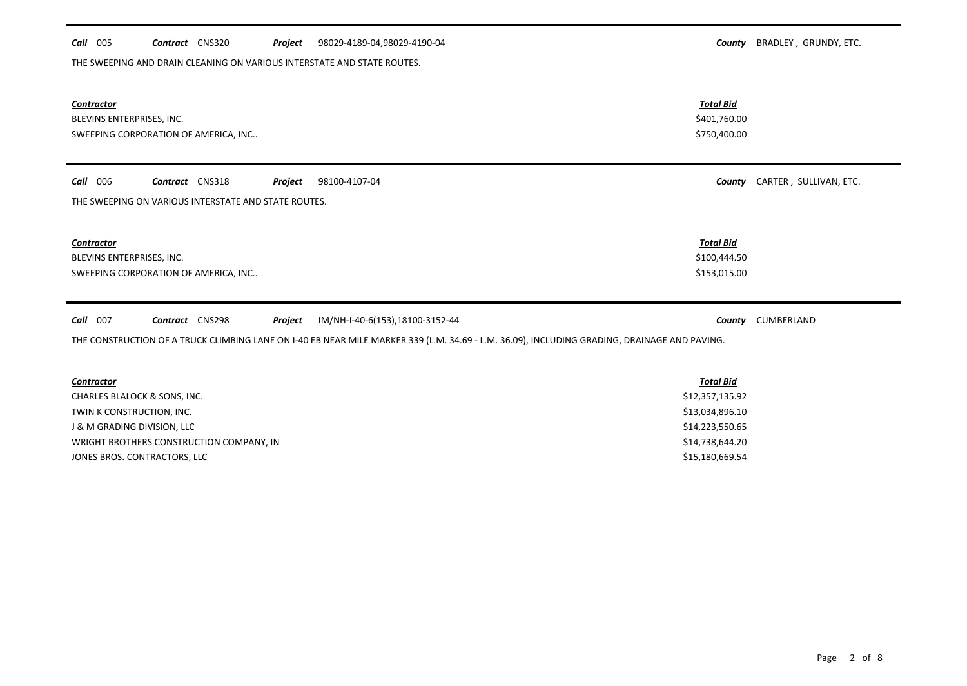# *Call* 005 *Contract* CNS320 *Project County* BRADLEY , GRUNDY, ETC. THE SWEEPING AND DRAIN CLEANING ON VARIOUS INTERSTATE AND STATE ROUTES. 98029-4189-04,98029-4190-04 *Contractor Total Bid* BLEVINS ENTERPRISES, INC. \$401,760.00 SWEEPING CORPORATION OF AMERICA, INC.. 63. AND THE STATE STO, 400.00 STATES AND STATES AND STRUGGER AND STRUGGER AND STRUGGER AND STRUGGER AND STRUGGER AND STRUGGER AND STRUGGER AND STRUGGER AND STRUGGER AND STRUGGER AND S *Call* 006 *Contract* CNS318 *Project County* CARTER , SULLIVAN, ETC. THE SWEEPING ON VARIOUS INTERSTATE AND STATE ROUTES. Project 98100-4107-04 *Contractor Total Bid* BLEVINS ENTERPRISES, INC. \$100,444.50 SWEEPING CORPORATION OF AMERICA, INC.. 63. A SALE AND THE SERVICE OF PROPERTY AND STRUCK AND STRUCK AND STRUCK *Call* 007 *Contract* CNS298 *Project County* CUMBERLAND IM/NH-I-40-6(153),18100-3152-44 THE CONSTRUCTION OF A TRUCK CLIMBING LANE ON I-40 EB NEAR MILE MARKER 339 (L.M. 34.69 - L.M. 36.09), INCLUDING GRADING, DRAINAGE AND PAVING.

| Contractor                               | Total Bid       |
|------------------------------------------|-----------------|
| CHARLES BLALOCK & SONS, INC.             | \$12,357,135.92 |
| TWIN K CONSTRUCTION, INC.                | \$13,034,896.10 |
| J & M GRADING DIVISION, LLC              | \$14,223,550.65 |
| WRIGHT BROTHERS CONSTRUCTION COMPANY, IN | \$14,738,644.20 |
| JONES BROS. CONTRACTORS, LLC             | \$15,180,669.54 |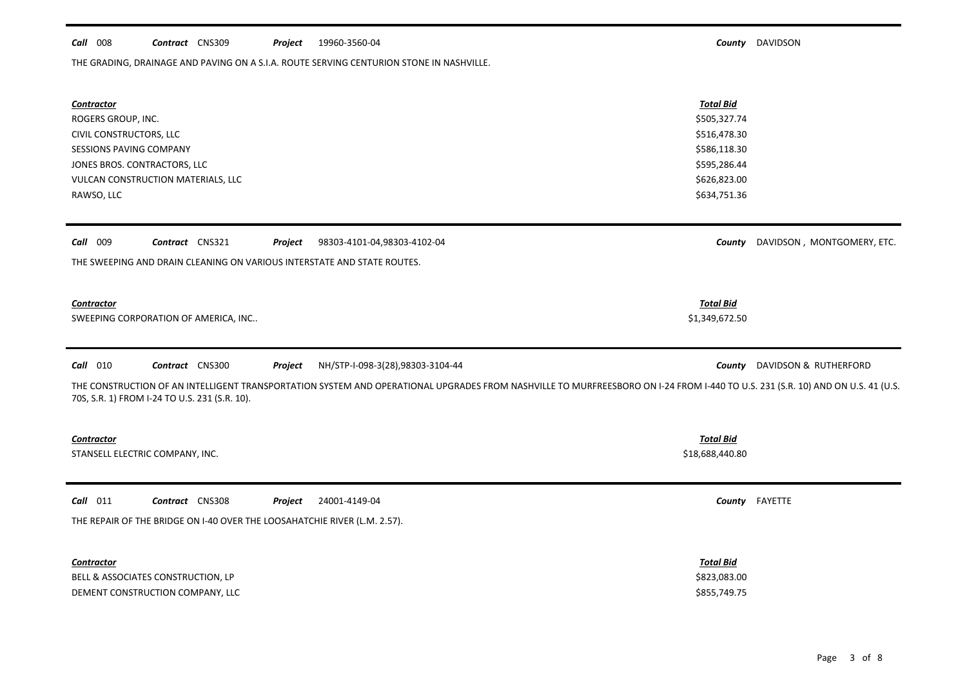| Call 008 |  | <b>Contract</b> CNS309 |  | Project | 19960-3560-04 |
|----------|--|------------------------|--|---------|---------------|
|----------|--|------------------------|--|---------|---------------|

*Call* 008 *Contract* CNS309 *Project County* DAVIDSON

*County* DAVIDSON & RUTHERFORD

THE GRADING, DRAINAGE AND PAVING ON A S.I.A. ROUTE SERVING CENTURION STONE IN NASHVILLE.

| Contractor                         | Total Bid    |
|------------------------------------|--------------|
| ROGERS GROUP, INC.                 | \$505,327.74 |
| CIVIL CONSTRUCTORS, LLC            | \$516,478.30 |
| SESSIONS PAVING COMPANY            | \$586,118.30 |
| JONES BROS. CONTRACTORS, LLC       | \$595,286.44 |
| VULCAN CONSTRUCTION MATERIALS, LLC | \$626,823.00 |
| RAWSO, LLC                         | \$634,751.36 |

*Call* 009 *Contract* CNS321 *Project County* DAVIDSON , MONTGOMERY, ETC. 98303-4101-04,98303-4102-04

THE SWEEPING AND DRAIN CLEANING ON VARIOUS INTERSTATE AND STATE ROUTES.

#### *Contractor Total Bid*

SWEEPING CORPORATION OF AMERICA, INC.. \$1,349,672.50

| $Call$ 010 |  | <b>Contract</b> CNS300 |  | Project | NH/STP-I-098-3(28),98303-3104-44 |
|------------|--|------------------------|--|---------|----------------------------------|
|------------|--|------------------------|--|---------|----------------------------------|

THE CONSTRUCTION OF AN INTELLIGENT TRANSPORTATION SYSTEM AND OPERATIONAL UPGRADES FROM NASHVILLE TO MURFREESBORO ON I-24 FROM I-440 TO U.S. 231 (S.R. 10) AND ON U.S. 41 (U.S. 70S, S.R. 1) FROM I-24 TO U.S. 231 (S.R. 10).

### *Contractor Total Bid*

STANSELL ELECTRIC COMPANY, INC. 

SALL AND THE SALL AND THE SALL AND SALL AND SALL AND SALL AND SALL AND SALL AND SALL AND SALL AND SALL AND SALL AND SALL AND SALL AND SALL AND SALL AND SALL AND SALL AND SALL AND SALL AND

*Call* 011 *Contract* CNS308 *Project County* FAYETTE 24001-4149-04

THE REPAIR OF THE BRIDGE ON I-40 OVER THE LOOSAHATCHIE RIVER (L.M. 2.57).

| <b>Contractor</b>                  | <b>Total Bid</b> |
|------------------------------------|------------------|
| BELL & ASSOCIATES CONSTRUCTION, LP | \$823,083.00     |
| DEMENT CONSTRUCTION COMPANY, LLC   | \$855,749.75     |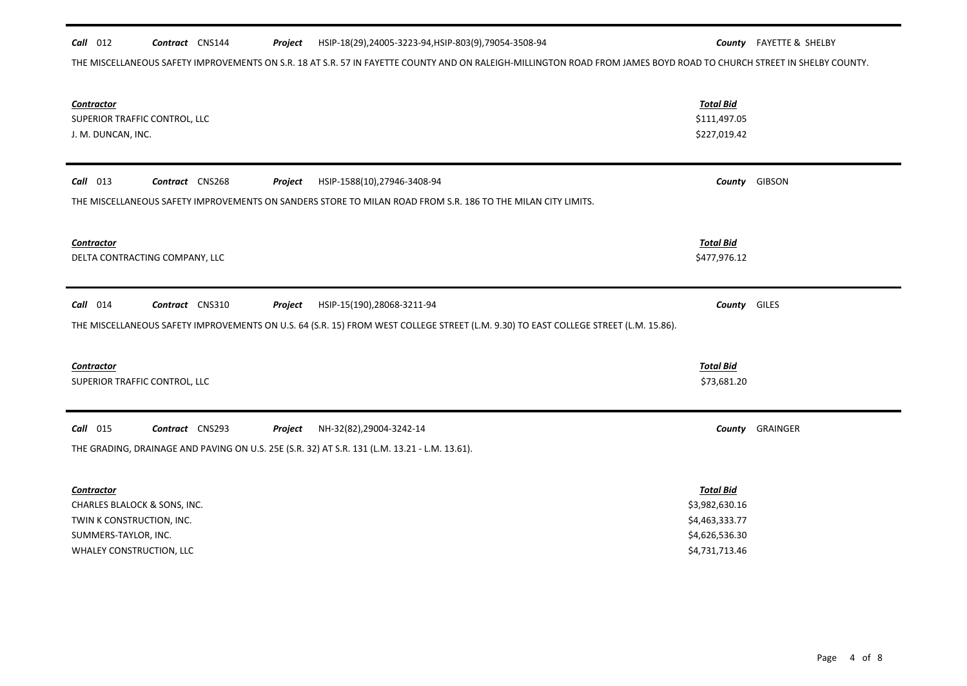## *Call* 012 *Contract* CNS144 *Project County* FAYETTE & SHELBY HSIP-18(29),24005-3223-94,HSIP-803(9),79054-3508-94

THE MISCELLANEOUS SAFETY IMPROVEMENTS ON S.R. 18 AT S.R. 57 IN FAYETTE COUNTY AND ON RALEIGH-MILLINGTON ROAD FROM JAMES BOYD ROAD TO CHURCH STREET IN SHELBY COUNTY.

| <b>Contractor</b><br>SUPERIOR TRAFFIC CONTROL, LLC<br>J. M. DUNCAN, INC.                                                                                                                                       | <b>Total Bid</b><br>\$111,497.05<br>\$227,019.42                                         |                 |
|----------------------------------------------------------------------------------------------------------------------------------------------------------------------------------------------------------------|------------------------------------------------------------------------------------------|-----------------|
| Contract CNS268<br>$Call$ 013<br>HSIP-1588(10),27946-3408-94<br>Project                                                                                                                                        |                                                                                          | County GIBSON   |
| THE MISCELLANEOUS SAFETY IMPROVEMENTS ON SANDERS STORE TO MILAN ROAD FROM S.R. 186 TO THE MILAN CITY LIMITS.                                                                                                   |                                                                                          |                 |
| <b>Contractor</b><br>DELTA CONTRACTING COMPANY, LLC                                                                                                                                                            | <b>Total Bid</b><br>\$477,976.12                                                         |                 |
| $Call$ 014<br>Contract CNS310<br>HSIP-15(190),28068-3211-94<br>Project<br>THE MISCELLANEOUS SAFETY IMPROVEMENTS ON U.S. 64 (S.R. 15) FROM WEST COLLEGE STREET (L.M. 9.30) TO EAST COLLEGE STREET (L.M. 15.86). | County GILES                                                                             |                 |
| <b>Contractor</b><br>SUPERIOR TRAFFIC CONTROL, LLC                                                                                                                                                             | <b>Total Bid</b><br>\$73,681.20                                                          |                 |
| Call 015<br>Contract CNS293<br>Project<br>NH-32(82),29004-3242-14                                                                                                                                              |                                                                                          | County GRAINGER |
| THE GRADING, DRAINAGE AND PAVING ON U.S. 25E (S.R. 32) AT S.R. 131 (L.M. 13.21 - L.M. 13.61).                                                                                                                  |                                                                                          |                 |
| <b>Contractor</b><br>CHARLES BLALOCK & SONS, INC.<br>TWIN K CONSTRUCTION, INC.<br>SUMMERS-TAYLOR, INC.<br>WHALEY CONSTRUCTION, LLC                                                                             | <b>Total Bid</b><br>\$3,982,630.16<br>\$4,463,333.77<br>\$4,626,536.30<br>\$4,731,713.46 |                 |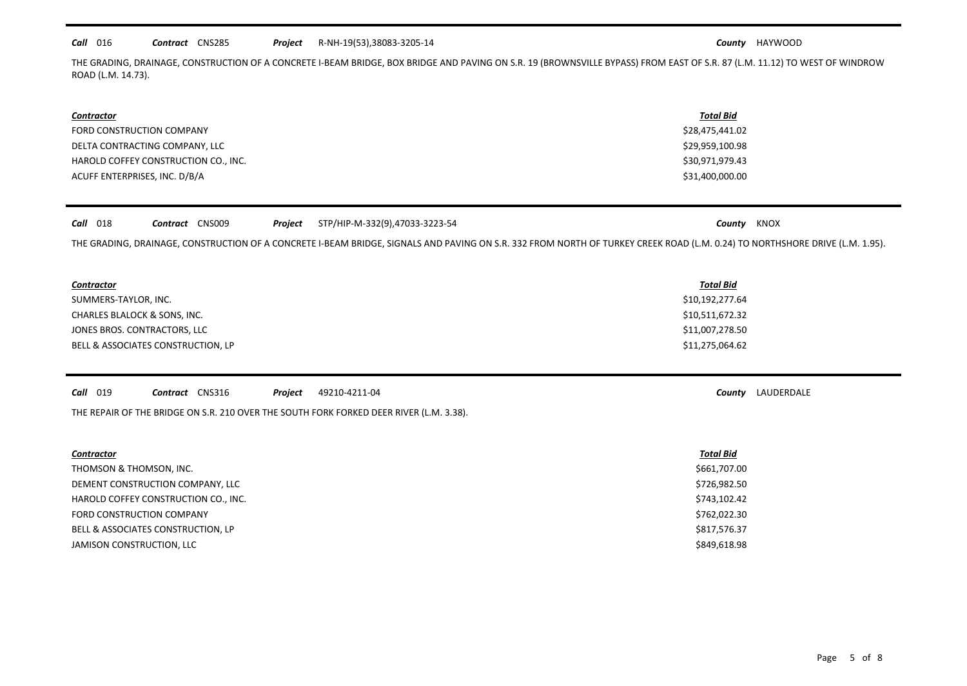#### *Call* 016 *Contract* CNS285 *Project County* HAYWOOD R-NH-19(53),38083-3205-14

THE GRADING, DRAINAGE, CONSTRUCTION OF A CONCRETE I-BEAM BRIDGE, BOX BRIDGE AND PAVING ON S.R. 19 (BROWNSVILLE BYPASS) FROM EAST OF S.R. 87 (L.M. 11.12) TO WEST OF WINDROW ROAD (L.M. 14.73).

| <b>Contractor</b><br>FORD CONSTRUCTION COMPANY<br>DELTA CONTRACTING COMPANY, LLC<br>HAROLD COFFEY CONSTRUCTION CO., INC.<br>ACUFF ENTERPRISES, INC. D/B/A                    | <b>Total Bid</b><br>\$28,475,441.02<br>\$29,959,100.98<br>\$30,971,979.43<br>\$31,400,000.00 |             |
|------------------------------------------------------------------------------------------------------------------------------------------------------------------------------|----------------------------------------------------------------------------------------------|-------------|
| <b>Call</b> 018<br>Contract CNS009<br>STP/HIP-M-332(9),47033-3223-54<br>Project                                                                                              | County                                                                                       | <b>KNOX</b> |
| THE GRADING, DRAINAGE, CONSTRUCTION OF A CONCRETE I-BEAM BRIDGE, SIGNALS AND PAVING ON S.R. 332 FROM NORTH OF TURKEY CREEK ROAD (L.M. 0.24) TO NORTHSHORE DRIVE (L.M. 1.95). |                                                                                              |             |
| <b>Contractor</b>                                                                                                                                                            | <b>Total Bid</b>                                                                             |             |
| SUMMERS-TAYLOR, INC.                                                                                                                                                         | \$10,192,277.64                                                                              |             |
| CHARLES BLALOCK & SONS, INC.                                                                                                                                                 | \$10,511,672.32                                                                              |             |
| JONES BROS. CONTRACTORS, LLC                                                                                                                                                 | \$11,007,278.50                                                                              |             |
| BELL & ASSOCIATES CONSTRUCTION, LP                                                                                                                                           | \$11,275,064.62                                                                              |             |
| Contract CNS316<br><b>Call</b> 019<br>Project<br>49210-4211-04                                                                                                               | County                                                                                       | LAUDERDALE  |
| THE REPAIR OF THE BRIDGE ON S.R. 210 OVER THE SOUTH FORK FORKED DEER RIVER (L.M. 3.38).                                                                                      |                                                                                              |             |
| <b>Contractor</b>                                                                                                                                                            | <b>Total Bid</b>                                                                             |             |
| THOMSON & THOMSON, INC.                                                                                                                                                      | \$661,707.00                                                                                 |             |
| DEMENT CONSTRUCTION COMPANY, LLC                                                                                                                                             | \$726,982.50                                                                                 |             |
| HAROLD COFFEY CONSTRUCTION CO., INC.                                                                                                                                         | \$743,102.42                                                                                 |             |
| FORD CONSTRUCTION COMPANY                                                                                                                                                    | \$762,022.30                                                                                 |             |
| BELL & ASSOCIATES CONSTRUCTION, LP                                                                                                                                           | \$817,576.37                                                                                 |             |
| JAMISON CONSTRUCTION, LLC                                                                                                                                                    | \$849,618.98                                                                                 |             |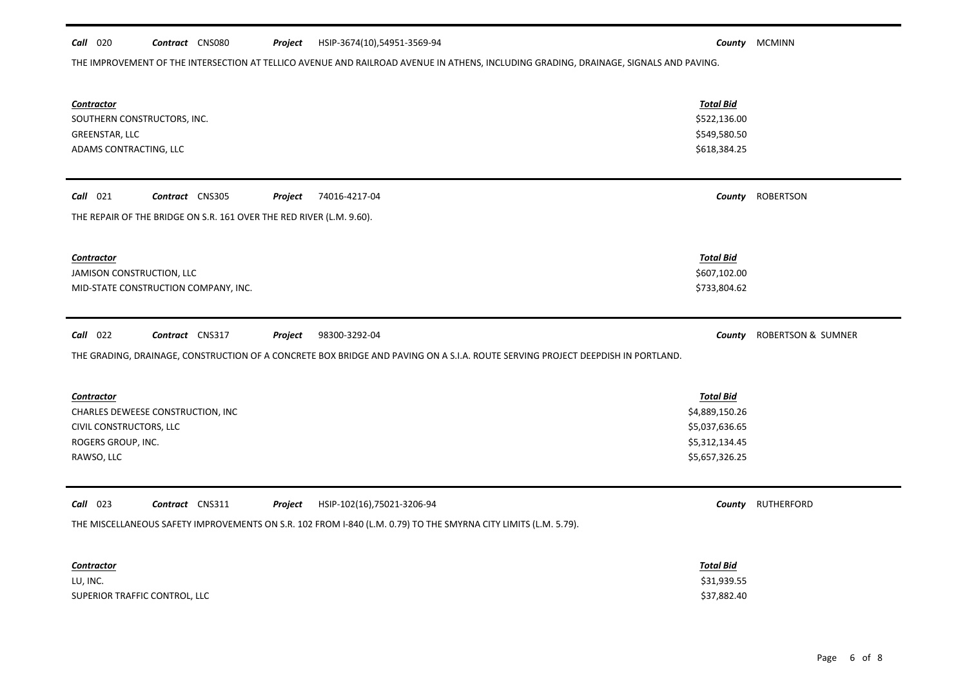### *Call* 020 *Contract* CNS080 *Project County* MCMINN HSIP-3674(10),54951-3569-94

THE IMPROVEMENT OF THE INTERSECTION AT TELLICO AVENUE AND RAILROAD AVENUE IN ATHENS, INCLUDING GRADING, DRAINAGE, SIGNALS AND PAVING.

| <b>Contractor</b>                                                                                                               | <b>Total Bid</b> |                               |
|---------------------------------------------------------------------------------------------------------------------------------|------------------|-------------------------------|
| SOUTHERN CONSTRUCTORS, INC.                                                                                                     | \$522,136.00     |                               |
| GREENSTAR, LLC                                                                                                                  | \$549,580.50     |                               |
| ADAMS CONTRACTING, LLC                                                                                                          | \$618,384.25     |                               |
|                                                                                                                                 |                  |                               |
| $Call$ 021<br>Contract CNS305<br>74016-4217-04<br>Project                                                                       | County           | <b>ROBERTSON</b>              |
| THE REPAIR OF THE BRIDGE ON S.R. 161 OVER THE RED RIVER (L.M. 9.60).                                                            |                  |                               |
|                                                                                                                                 |                  |                               |
| Contractor                                                                                                                      | <b>Total Bid</b> |                               |
| JAMISON CONSTRUCTION, LLC                                                                                                       | \$607,102.00     |                               |
| MID-STATE CONSTRUCTION COMPANY, INC.                                                                                            | \$733,804.62     |                               |
| Call 022<br>Contract CNS317<br>98300-3292-04<br>Project                                                                         | County           | <b>ROBERTSON &amp; SUMNER</b> |
|                                                                                                                                 |                  |                               |
| THE GRADING, DRAINAGE, CONSTRUCTION OF A CONCRETE BOX BRIDGE AND PAVING ON A S.I.A. ROUTE SERVING PROJECT DEEPDISH IN PORTLAND. |                  |                               |
| <b>Contractor</b>                                                                                                               | <b>Total Bid</b> |                               |
| CHARLES DEWEESE CONSTRUCTION, INC                                                                                               | \$4,889,150.26   |                               |
| CIVIL CONSTRUCTORS, LLC                                                                                                         | \$5,037,636.65   |                               |
| ROGERS GROUP, INC.                                                                                                              | \$5,312,134.45   |                               |
| RAWSO, LLC                                                                                                                      | \$5,657,326.25   |                               |
|                                                                                                                                 |                  |                               |
| $Call$ 023<br>Contract CNS311<br>HSIP-102(16),75021-3206-94<br>Project                                                          | County           | RUTHERFORD                    |
| THE MISCELLANEOUS SAFETY IMPROVEMENTS ON S.R. 102 FROM I-840 (L.M. 0.79) TO THE SMYRNA CITY LIMITS (L.M. 5.79).                 |                  |                               |
|                                                                                                                                 |                  |                               |
| <b>Contractor</b>                                                                                                               | <b>Total Bid</b> |                               |
| LU, INC.                                                                                                                        | \$31,939.55      |                               |
| SUPERIOR TRAFFIC CONTROL, LLC                                                                                                   | \$37,882.40      |                               |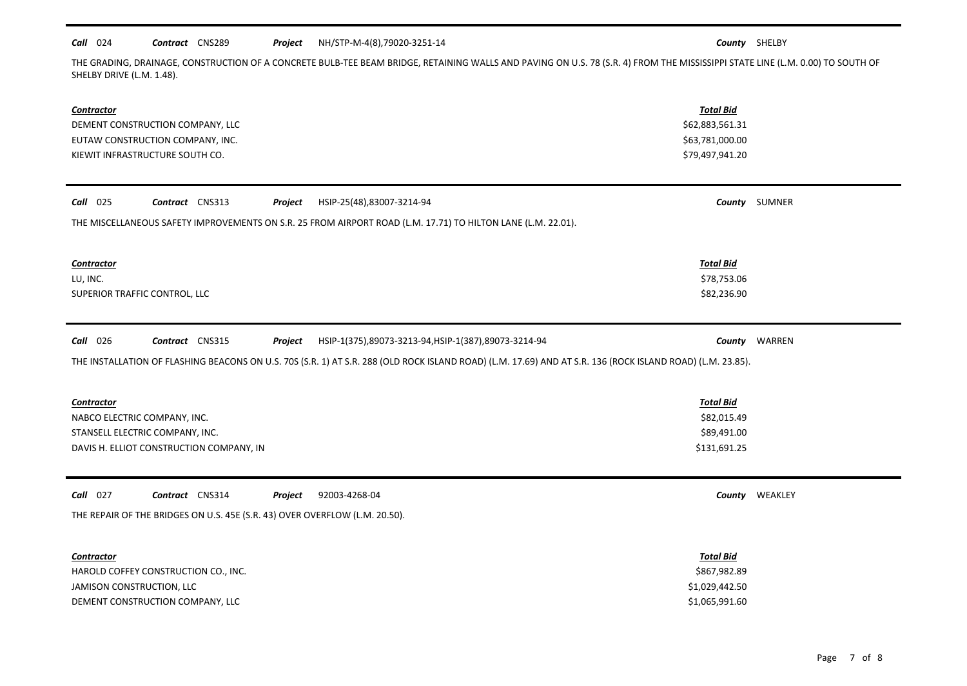### *Call* 024 *Contract* CNS289 *Project County* SHELBY NH/STP-M-4(8),79020-3251-14

THE GRADING, DRAINAGE, CONSTRUCTION OF A CONCRETE BULB-TEE BEAM BRIDGE, RETAINING WALLS AND PAVING ON U.S. 78 (S.R. 4) FROM THE MISSISSIPPI STATE LINE (L.M. 0.00) TO SOUTH OF SHELBY DRIVE (L.M. 1.48).

| Contractor<br>DEMENT CONSTRUCTION COMPANY, LLC<br>EUTAW CONSTRUCTION COMPANY, INC.<br>KIEWIT INFRASTRUCTURE SOUTH CO.                                      | <b>Total Bid</b><br>\$62,883,561.31<br>\$63,781,000.00<br>\$79,497,941.20 |                |
|------------------------------------------------------------------------------------------------------------------------------------------------------------|---------------------------------------------------------------------------|----------------|
| Call 025<br>Contract CNS313<br>Project<br>HSIP-25(48),83007-3214-94                                                                                        |                                                                           | County SUMNER  |
| THE MISCELLANEOUS SAFETY IMPROVEMENTS ON S.R. 25 FROM AIRPORT ROAD (L.M. 17.71) TO HILTON LANE (L.M. 22.01).                                               |                                                                           |                |
| <b>Contractor</b>                                                                                                                                          | <b>Total Bid</b>                                                          |                |
| LU, INC.                                                                                                                                                   | \$78,753.06                                                               |                |
| SUPERIOR TRAFFIC CONTROL, LLC                                                                                                                              | \$82,236.90                                                               |                |
| Call 026<br>Contract CNS315<br>HSIP-1(375),89073-3213-94,HSIP-1(387),89073-3214-94<br>Project                                                              |                                                                           | County WARREN  |
| THE INSTALLATION OF FLASHING BEACONS ON U.S. 70S (S.R. 1) AT S.R. 288 (OLD ROCK ISLAND ROAD) (L.M. 17.69) AND AT S.R. 136 (ROCK ISLAND ROAD) (L.M. 23.85). |                                                                           |                |
| <b>Contractor</b>                                                                                                                                          | <b>Total Bid</b>                                                          |                |
| NABCO ELECTRIC COMPANY, INC.                                                                                                                               | \$82,015.49                                                               |                |
| STANSELL ELECTRIC COMPANY, INC.                                                                                                                            | \$89,491.00                                                               |                |
| DAVIS H. ELLIOT CONSTRUCTION COMPANY, IN                                                                                                                   | \$131,691.25                                                              |                |
| Call 027<br>Contract CNS314<br>Project<br>92003-4268-04                                                                                                    |                                                                           | County WEAKLEY |
| THE REPAIR OF THE BRIDGES ON U.S. 45E (S.R. 43) OVER OVERFLOW (L.M. 20.50).                                                                                |                                                                           |                |
| Contractor                                                                                                                                                 | <b>Total Bid</b>                                                          |                |
| HAROLD COFFEY CONSTRUCTION CO., INC.                                                                                                                       | \$867,982.89                                                              |                |
| JAMISON CONSTRUCTION, LLC                                                                                                                                  | \$1,029,442.50                                                            |                |
| DEMENT CONSTRUCTION COMPANY, LLC                                                                                                                           | \$1,065,991.60                                                            |                |